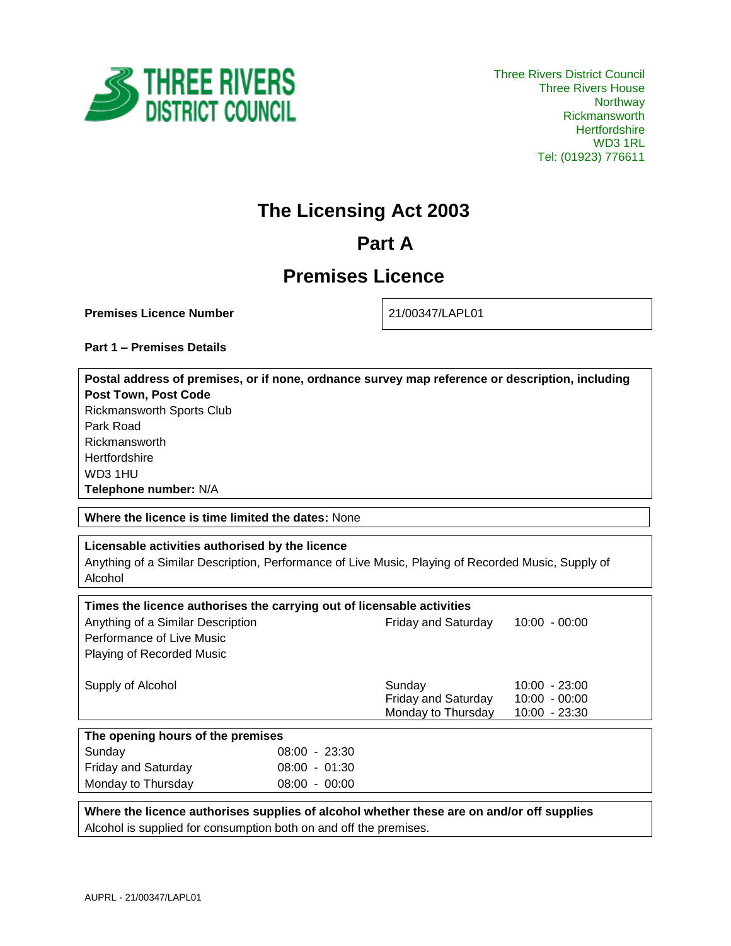

## **The Licensing Act 2003**

# **Part A**

### **Premises Licence**

**Premises Licence Number** 21/00347/LAPL01

**Part 1 – Premises Details**

| Postal address of premises, or if none, ordnance survey map reference or description, including                                                                  |                 |                            |                 |
|------------------------------------------------------------------------------------------------------------------------------------------------------------------|-----------------|----------------------------|-----------------|
| <b>Post Town, Post Code</b>                                                                                                                                      |                 |                            |                 |
| <b>Rickmansworth Sports Club</b>                                                                                                                                 |                 |                            |                 |
| Park Road                                                                                                                                                        |                 |                            |                 |
| Rickmansworth                                                                                                                                                    |                 |                            |                 |
| Hertfordshire                                                                                                                                                    |                 |                            |                 |
| WD3 1HU                                                                                                                                                          |                 |                            |                 |
| Telephone number: N/A                                                                                                                                            |                 |                            |                 |
| Where the licence is time limited the dates: None                                                                                                                |                 |                            |                 |
| Licensable activities authorised by the licence<br>Anything of a Similar Description, Performance of Live Music, Playing of Recorded Music, Supply of<br>Alcohol |                 |                            |                 |
| Times the licence authorises the carrying out of licensable activities                                                                                           |                 |                            |                 |
| Anything of a Similar Description                                                                                                                                |                 | Friday and Saturday        | $10:00 - 00:00$ |
| Performance of Live Music                                                                                                                                        |                 |                            |                 |
| Playing of Recorded Music                                                                                                                                        |                 |                            |                 |
| Supply of Alcohol                                                                                                                                                |                 | Sunday                     | $10:00 - 23:00$ |
|                                                                                                                                                                  |                 | <b>Friday and Saturday</b> | $10:00 - 00:00$ |
|                                                                                                                                                                  |                 | Monday to Thursday         | 10:00 - 23:30   |
| The opening hours of the premises                                                                                                                                |                 |                            |                 |
| Sunday                                                                                                                                                           | $08:00 - 23:30$ |                            |                 |
| Friday and Saturday                                                                                                                                              | $08:00 - 01:30$ |                            |                 |
| Monday to Thursday                                                                                                                                               | $08:00 - 00:00$ |                            |                 |
| Where the licence authorises supplies of alcohol whether these are on and/or off supplies<br>Alcohol is supplied for consumption both on and off the premises.   |                 |                            |                 |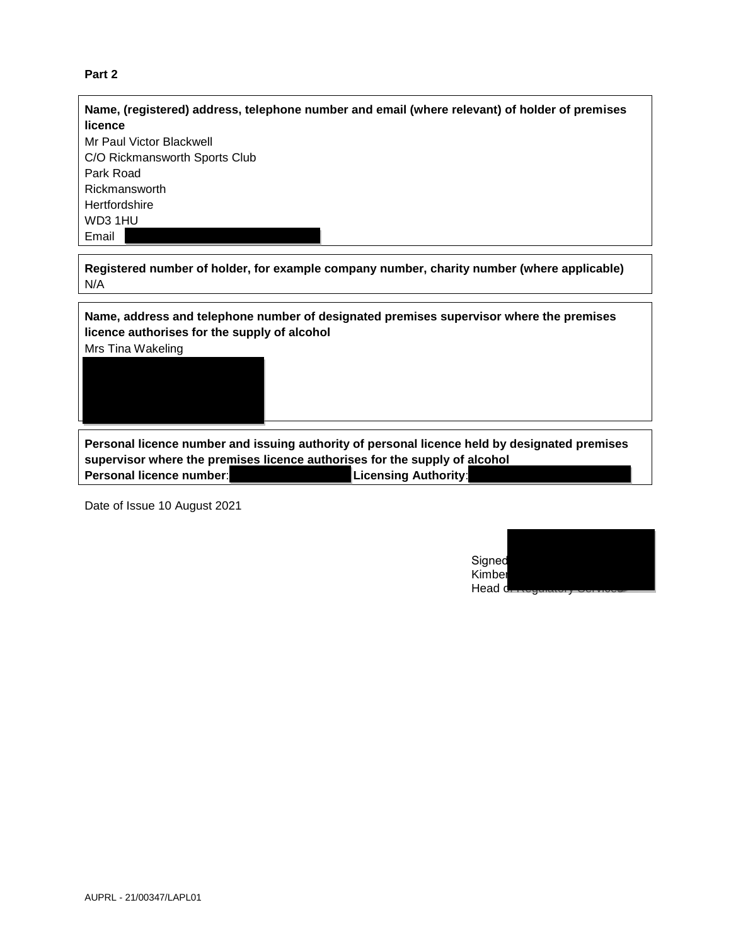#### **Part 2**

**Name, (registered) address, telephone number and email (where relevant) of holder of premises licence** Mr Paul Victor Blackwell C/O Rickmansworth Sports Club Park Road Rickmansworth **Hertfordshire** WD3 1HU Email

**Registered number of holder, for example company number, charity number (where applicable)** N/A

**Name, address and telephone number of designated premises supervisor where the premises licence authorises for the supply of alcohol**

Mrs Tina Wakeling

**Personal licence number and issuing authority of personal licence held by designated premises supervisor where the premises licence authorises for the supply of alcohol Personal licence number: 21/00157 21/00157 Licensing Authority:** 

Date of Issue 10 August 2021

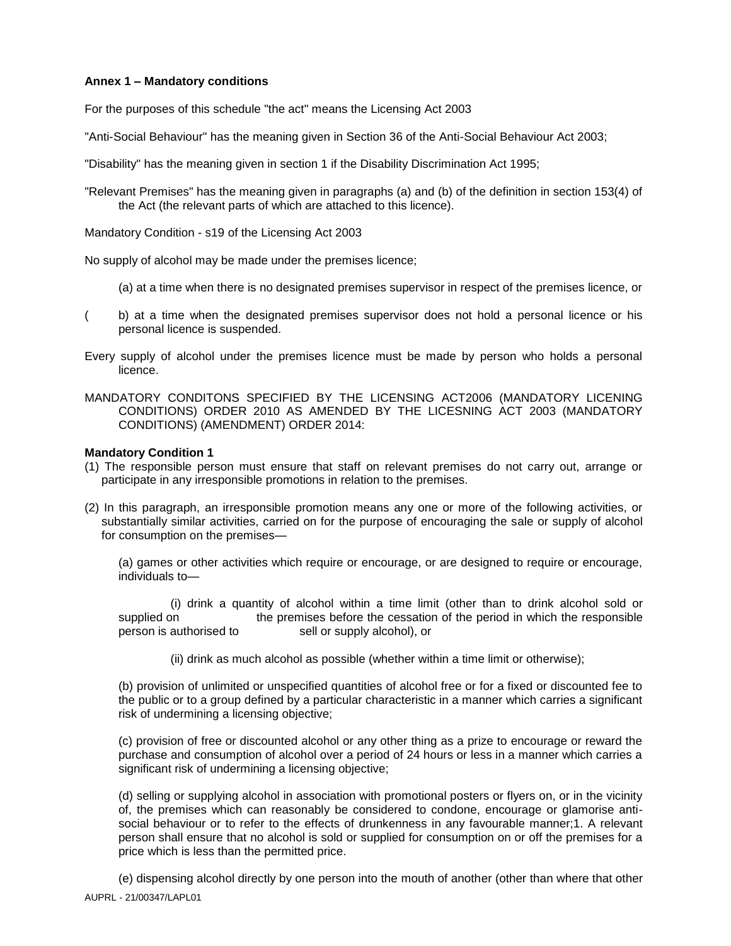#### **Annex 1 – Mandatory conditions**

For the purposes of this schedule "the act" means the Licensing Act 2003

"Anti-Social Behaviour" has the meaning given in Section 36 of the Anti-Social Behaviour Act 2003;

"Disability" has the meaning given in section 1 if the Disability Discrimination Act 1995;

"Relevant Premises" has the meaning given in paragraphs (a) and (b) of the definition in section 153(4) of the Act (the relevant parts of which are attached to this licence).

Mandatory Condition - s19 of the Licensing Act 2003

No supply of alcohol may be made under the premises licence;

- (a) at a time when there is no designated premises supervisor in respect of the premises licence, or
- ( b) at a time when the designated premises supervisor does not hold a personal licence or his personal licence is suspended.
- Every supply of alcohol under the premises licence must be made by person who holds a personal licence.
- MANDATORY CONDITONS SPECIFIED BY THE LICENSING ACT2006 (MANDATORY LICENING CONDITIONS) ORDER 2010 AS AMENDED BY THE LICESNING ACT 2003 (MANDATORY CONDITIONS) (AMENDMENT) ORDER 2014:

#### **Mandatory Condition 1**

- (1) The responsible person must ensure that staff on relevant premises do not carry out, arrange or participate in any irresponsible promotions in relation to the premises.
- (2) In this paragraph, an irresponsible promotion means any one or more of the following activities, or substantially similar activities, carried on for the purpose of encouraging the sale or supply of alcohol for consumption on the premises—

(a) games or other activities which require or encourage, or are designed to require or encourage, individuals to—

(i) drink a quantity of alcohol within a time limit (other than to drink alcohol sold or supplied on the premises before the cessation of the period in which the responsible person is authorised to sell or supply alcohol), or

(ii) drink as much alcohol as possible (whether within a time limit or otherwise);

(b) provision of unlimited or unspecified quantities of alcohol free or for a fixed or discounted fee to the public or to a group defined by a particular characteristic in a manner which carries a significant risk of undermining a licensing objective;

(c) provision of free or discounted alcohol or any other thing as a prize to encourage or reward the purchase and consumption of alcohol over a period of 24 hours or less in a manner which carries a significant risk of undermining a licensing objective;

(d) selling or supplying alcohol in association with promotional posters or flyers on, or in the vicinity of, the premises which can reasonably be considered to condone, encourage or glamorise antisocial behaviour or to refer to the effects of drunkenness in any favourable manner;1. A relevant person shall ensure that no alcohol is sold or supplied for consumption on or off the premises for a price which is less than the permitted price.

(e) dispensing alcohol directly by one person into the mouth of another (other than where that other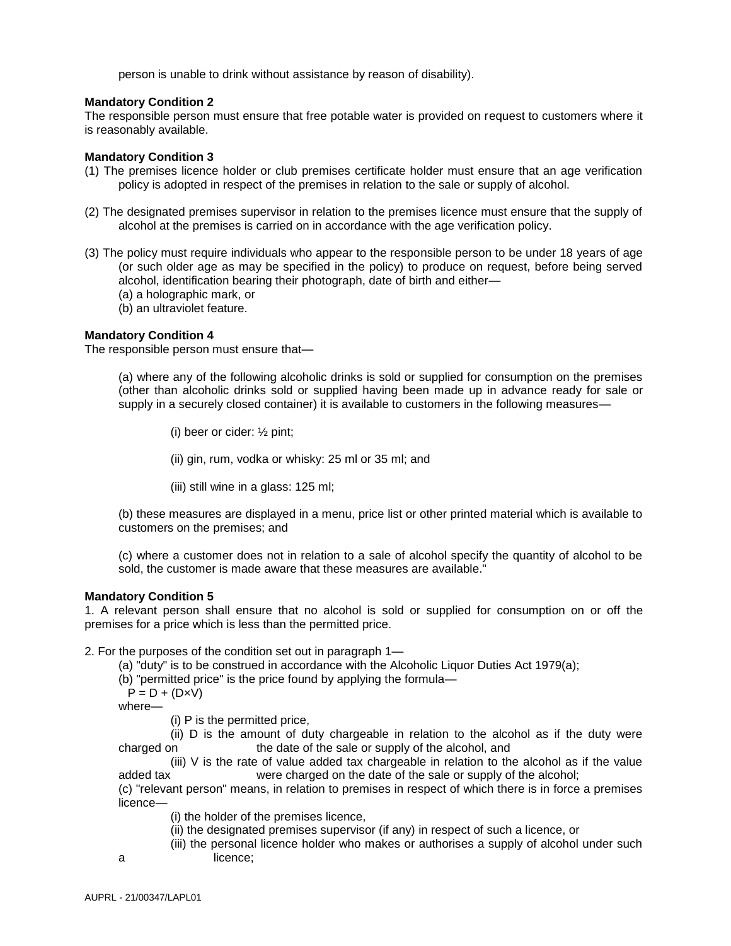person is unable to drink without assistance by reason of disability).

#### **Mandatory Condition 2**

The responsible person must ensure that free potable water is provided on request to customers where it is reasonably available.

#### **Mandatory Condition 3**

- (1) The premises licence holder or club premises certificate holder must ensure that an age verification policy is adopted in respect of the premises in relation to the sale or supply of alcohol.
- (2) The designated premises supervisor in relation to the premises licence must ensure that the supply of alcohol at the premises is carried on in accordance with the age verification policy.
- (3) The policy must require individuals who appear to the responsible person to be under 18 years of age (or such older age as may be specified in the policy) to produce on request, before being served alcohol, identification bearing their photograph, date of birth and either—
	- (a) a holographic mark, or
	- (b) an ultraviolet feature.

#### **Mandatory Condition 4**

The responsible person must ensure that—

(a) where any of the following alcoholic drinks is sold or supplied for consumption on the premises (other than alcoholic drinks sold or supplied having been made up in advance ready for sale or supply in a securely closed container) it is available to customers in the following measures—

(i) beer or cider: ½ pint;

(ii) gin, rum, vodka or whisky: 25 ml or 35 ml; and

(iii) still wine in a glass: 125 ml;

(b) these measures are displayed in a menu, price list or other printed material which is available to customers on the premises; and

(c) where a customer does not in relation to a sale of alcohol specify the quantity of alcohol to be sold, the customer is made aware that these measures are available."

#### **Mandatory Condition 5**

1. A relevant person shall ensure that no alcohol is sold or supplied for consumption on or off the premises for a price which is less than the permitted price.

- 2. For the purposes of the condition set out in paragraph 1—
	- (a) "duty" is to be construed in accordance with the Alcoholic Liquor Duties Act 1979(a);

(b) "permitted price" is the price found by applying the formula—

 $P = D + (D \times V)$ 

where—

(i) P is the permitted price,

(ii) D is the amount of duty chargeable in relation to the alcohol as if the duty were charged on the date of the sale or supply of the alcohol, and

(iii) V is the rate of value added tax chargeable in relation to the alcohol as if the value added tax were charged on the date of the sale or supply of the alcohol;

(c) "relevant person" means, in relation to premises in respect of which there is in force a premises licence—

- (i) the holder of the premises licence,
- (ii) the designated premises supervisor (if any) in respect of such a licence, or
- (iii) the personal licence holder who makes or authorises a supply of alcohol under such a licence:
-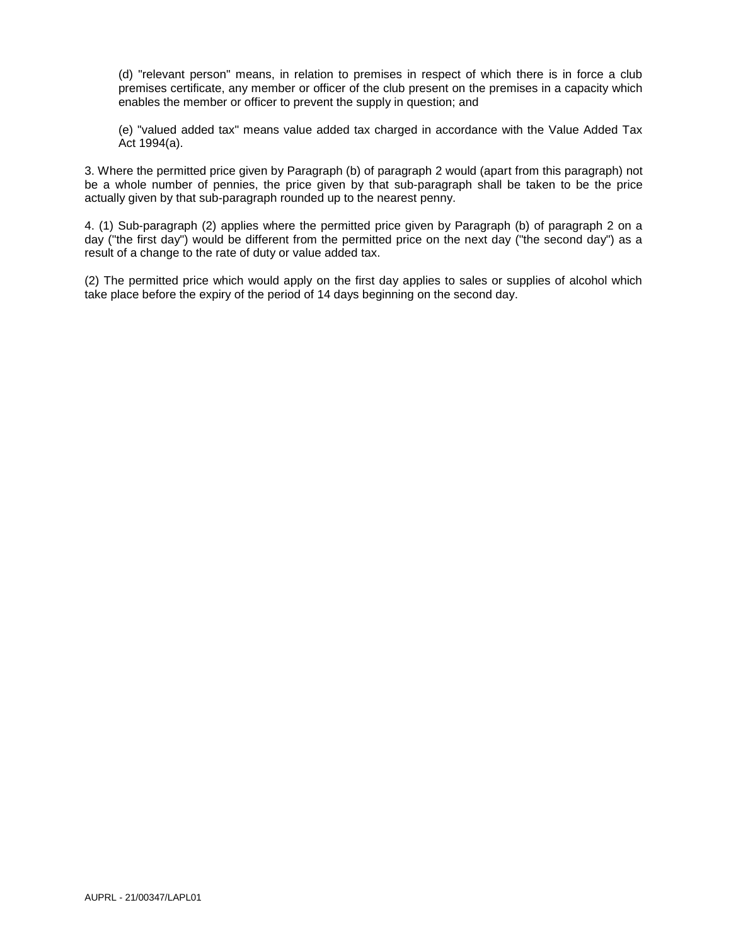(d) "relevant person" means, in relation to premises in respect of which there is in force a club premises certificate, any member or officer of the club present on the premises in a capacity which enables the member or officer to prevent the supply in question; and

(e) "valued added tax" means value added tax charged in accordance with the Value Added Tax Act 1994(a).

3. Where the permitted price given by Paragraph (b) of paragraph 2 would (apart from this paragraph) not be a whole number of pennies, the price given by that sub-paragraph shall be taken to be the price actually given by that sub-paragraph rounded up to the nearest penny.

4. (1) Sub-paragraph (2) applies where the permitted price given by Paragraph (b) of paragraph 2 on a day ("the first day") would be different from the permitted price on the next day ("the second day") as a result of a change to the rate of duty or value added tax.

(2) The permitted price which would apply on the first day applies to sales or supplies of alcohol which take place before the expiry of the period of 14 days beginning on the second day.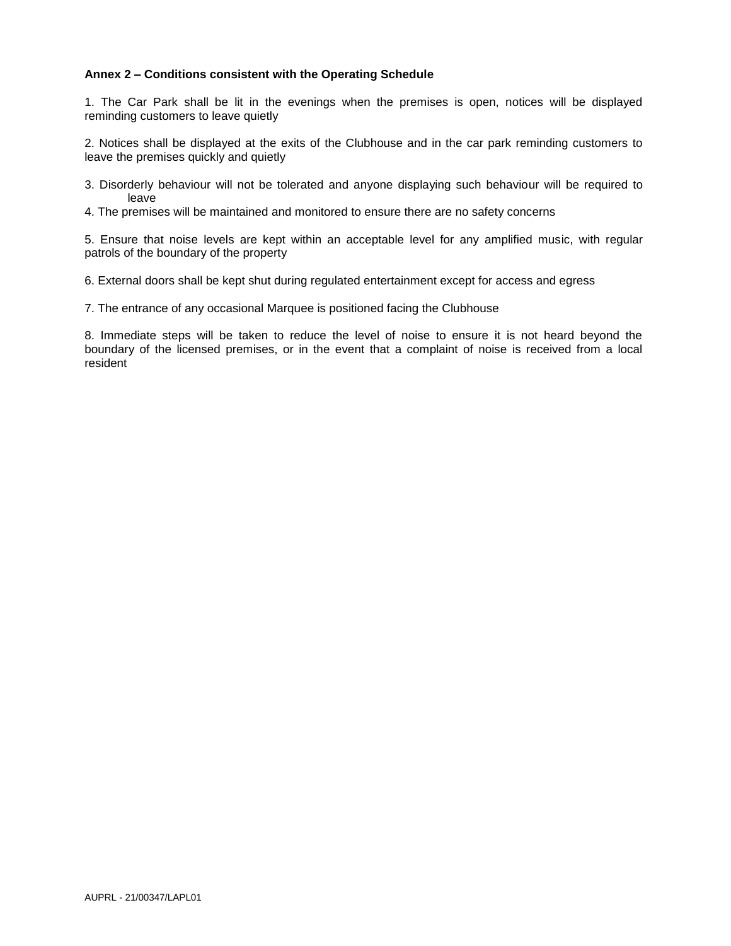#### **Annex 2 – Conditions consistent with the Operating Schedule**

1. The Car Park shall be lit in the evenings when the premises is open, notices will be displayed reminding customers to leave quietly

2. Notices shall be displayed at the exits of the Clubhouse and in the car park reminding customers to leave the premises quickly and quietly

- 3. Disorderly behaviour will not be tolerated and anyone displaying such behaviour will be required to leave
- 4. The premises will be maintained and monitored to ensure there are no safety concerns

5. Ensure that noise levels are kept within an acceptable level for any amplified music, with regular patrols of the boundary of the property

6. External doors shall be kept shut during regulated entertainment except for access and egress

7. The entrance of any occasional Marquee is positioned facing the Clubhouse

8. Immediate steps will be taken to reduce the level of noise to ensure it is not heard beyond the boundary of the licensed premises, or in the event that a complaint of noise is received from a local resident